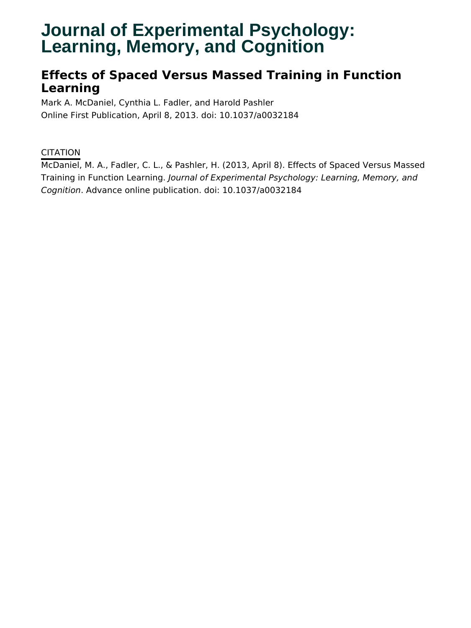# **Journal of Experimental Psychology: Learning, Memory, and Cognition**

# **Effects of Spaced Versus Massed Training in Function Learning**

Mark A. McDaniel, Cynthia L. Fadler, and Harold Pashler Online First Publication, April 8, 2013. doi: 10.1037/a0032184

### CITATION

McDaniel, M. A., Fadler, C. L., & Pashler, H. (2013, April 8). Effects of Spaced Versus Massed Training in Function Learning. Journal of Experimental Psychology: Learning, Memory, and Cognition. Advance online publication. doi: 10.1037/a0032184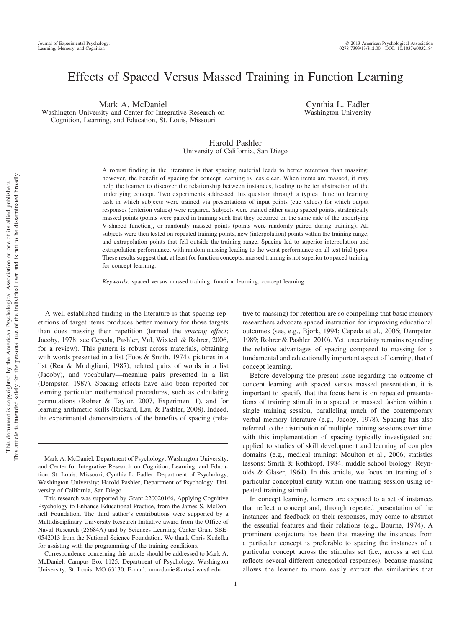## Effects of Spaced Versus Massed Training in Function Learning

Mark A. McDaniel Washington University and Center for Integrative Research on Cognition, Learning, and Education, St. Louis, Missouri

Cynthia L. Fadler Washington University

#### Harold Pashler University of California, San Diego

A robust finding in the literature is that spacing material leads to better retention than massing; however, the benefit of spacing for concept learning is less clear. When items are massed, it may help the learner to discover the relationship between instances, leading to better abstraction of the underlying concept. Two experiments addressed this question through a typical function learning task in which subjects were trained via presentations of input points (cue values) for which output responses (criterion values) were required. Subjects were trained either using spaced points, strategically massed points (points were paired in training such that they occurred on the same side of the underlying V-shaped function), or randomly massed points (points were randomly paired during training). All subjects were then tested on repeated training points, new (interpolation) points within the training range, and extrapolation points that fell outside the training range. Spacing led to superior interpolation and extrapolation performance, with random massing leading to the worst performance on all test trial types. These results suggest that, at least for function concepts, massed training is not superior to spaced training for concept learning.

*Keywords:* spaced versus massed training, function learning, concept learning

A well-established finding in the literature is that spacing repetitions of target items produces better memory for those targets than does massing their repetition (termed the *spacing effect*; Jacoby, 1978; see Cepeda, Pashler, Vul, Wixted, & Rohrer, 2006, for a review). This pattern is robust across materials, obtaining with words presented in a list (Foos & Smith, 1974), pictures in a list (Rea & Modigliani, 1987), related pairs of words in a list (Jacoby), and vocabulary—meaning pairs presented in a list (Dempster, 1987). Spacing effects have also been reported for learning particular mathematical procedures, such as calculating permutations (Rohrer & Taylor, 2007, Experiment 1), and for learning arithmetic skills (Rickard, Lau, & Pashler, 2008). Indeed, the experimental demonstrations of the benefits of spacing (rela-

Mark A. McDaniel, Department of Psychology, Washington University, and Center for Integrative Research on Cognition, Learning, and Education, St. Louis, Missouri; Cynthia L. Fadler, Department of Psychology, Washington University; Harold Pashler, Department of Psychology, University of California, San Diego.

This research was supported by Grant 220020166, Applying Cognitive Psychology to Enhance Educational Practice, from the James S. McDonnell Foundation. The third author's contributions were supported by a Multidisciplinary University Research Initiative award from the Office of Naval Research (25684A) and by Sciences Learning Center Grant SBE-0542013 from the National Science Foundation. We thank Chris Kudelka for assisting with the programming of the training conditions.

Correspondence concerning this article should be addressed to Mark A. McDaniel, Campus Box 1125, Department of Psychology, Washington University, St. Louis, MO 63130. E-mail: mmcdanie@artsci.wustl.edu

tive to massing) for retention are so compelling that basic memory researchers advocate spaced instruction for improving educational outcomes (see, e.g., Bjork, 1994; Cepeda et al., 2006; Dempster, 1989; Rohrer & Pashler, 2010). Yet, uncertainty remains regarding the relative advantages of spacing compared to massing for a fundamental and educationally important aspect of learning, that of concept learning.

Before developing the present issue regarding the outcome of concept learning with spaced versus massed presentation, it is important to specify that the focus here is on repeated presentations of training stimuli in a spaced or massed fashion within a single training session, paralleling much of the contemporary verbal memory literature (e.g., Jacoby, 1978). Spacing has also referred to the distribution of multiple training sessions over time, with this implementation of spacing typically investigated and applied to studies of skill development and learning of complex domains (e.g., medical training: Moulton et al., 2006; statistics lessons: Smith & Rothkopf, 1984; middle school biology: Reynolds & Glaser, 1964). In this article, we focus on training of a particular conceptual entity within one training session using repeated training stimuli.

In concept learning, learners are exposed to a set of instances that reflect a concept and, through repeated presentation of the instances and feedback on their responses, may come to abstract the essential features and their relations (e.g., Bourne, 1974). A prominent conjecture has been that massing the instances from a particular concept is preferable to spacing the instances of a particular concept across the stimulus set (i.e., across a set that reflects several different categorical responses), because massing allows the learner to more easily extract the similarities that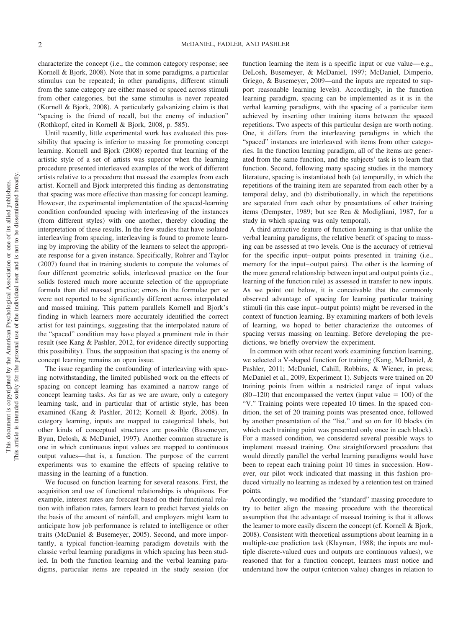characterize the concept (i.e., the common category response; see Kornell & Bjork, 2008). Note that in some paradigms, a particular stimulus can be repeated; in other paradigms, different stimuli from the same category are either massed or spaced across stimuli from other categories, but the same stimulus is never repeated (Kornell & Bjork, 2008). A particularly galvanizing claim is that "spacing is the friend of recall, but the enemy of induction" (Rothkopf, cited in Kornell & Bjork, 2008, p. 585).

Until recently, little experimental work has evaluated this possibility that spacing is inferior to massing for promoting concept learning. Kornell and Bjork (2008) reported that learning of the artistic style of a set of artists was superior when the learning procedure presented interleaved examples of the work of different artists relative to a procedure that massed the examples from each artist. Kornell and Bjork interpreted this finding as demonstrating that spacing was more effective than massing for concept learning. However, the experimental implementation of the spaced-learning condition confounded spacing with interleaving of the instances (from different styles) with one another, thereby clouding the interpretation of these results. In the few studies that have isolated interleaving from spacing, interleaving is found to promote learning by improving the ability of the learners to select the appropriate response for a given instance. Specifically, Rohrer and Taylor (2007) found that in training students to compute the volumes of four different geometric solids, interleaved practice on the four solids fostered much more accurate selection of the appropriate formula than did massed practice; errors in the formulae per se were not reported to be significantly different across interpolated and massed training. This pattern parallels Kornell and Bjork's finding in which learners more accurately identified the correct artist for test paintings, suggesting that the interpolated nature of the "spaced" condition may have played a prominent role in their result (see Kang & Pashler, 2012, for evidence directly supporting this possibility). Thus, the supposition that spacing is the enemy of concept learning remains an open issue.

The issue regarding the confounding of interleaving with spacing notwithstanding, the limited published work on the effects of spacing on concept learning has examined a narrow range of concept learning tasks. As far as we are aware, only a category learning task, and in particular that of artistic style, has been examined (Kang & Pashler, 2012; Kornell & Bjork, 2008). In category learning, inputs are mapped to categorical labels, but other kinds of conceptual structures are possible (Busemeyer, Byun, Delosh, & McDaniel, 1997). Another common structure is one in which continuous input values are mapped to continuous output values—that is, a function. The purpose of the current experiments was to examine the effects of spacing relative to massing in the learning of a function.

We focused on function learning for several reasons. First, the acquisition and use of functional relationships is ubiquitous. For example, interest rates are forecast based on their functional relation with inflation rates, farmers learn to predict harvest yields on the basis of the amount of rainfall, and employers might learn to anticipate how job performance is related to intelligence or other traits (McDaniel & Busemeyer, 2005). Second, and more importantly, a typical function-learning paradigm dovetails with the classic verbal learning paradigms in which spacing has been studied. In both the function learning and the verbal learning paradigms, particular items are repeated in the study session (for

function learning the item is a specific input or cue value— e.g., DeLosh, Busemeyer, & McDaniel, 1997; McDaniel, Dimperio, Griego, & Busemeyer, 2009—and the inputs are repeated to support reasonable learning levels). Accordingly, in the function learning paradigm, spacing can be implemented as it is in the verbal learning paradigms, with the spacing of a particular item achieved by inserting other training items between the spaced repetitions. Two aspects of this particular design are worth noting. One, it differs from the interleaving paradigms in which the "spaced" instances are interleaved with items from other categories. In the function learning paradigm, all of the items are generated from the same function, and the subjects' task is to learn that function. Second, following many spacing studies in the memory literature, spacing is instantiated both (a) temporally, in which the repetitions of the training item are separated from each other by a temporal delay, and (b) distributionally, in which the repetitions are separated from each other by presentations of other training items (Dempster, 1989; but see Rea & Modigliani, 1987, for a study in which spacing was only temporal).

A third attractive feature of function learning is that unlike the verbal learning paradigms, the relative benefit of spacing to massing can be assessed at two levels. One is the accuracy of retrieval for the specific input– output points presented in training (i.e., memory for the input– output pairs). The other is the learning of the more general relationship between input and output points (i.e., learning of the function rule) as assessed in transfer to new inputs. As we point out below, it is conceivable that the commonly observed advantage of spacing for learning particular training stimuli (in this case input– output points) might be reversed in the context of function learning. By examining markers of both levels of learning, we hoped to better characterize the outcomes of spacing versus massing on learning. Before developing the predictions, we briefly overview the experiment.

In common with other recent work examining function learning, we selected a V-shaped function for training (Kang, McDaniel, & Pashler, 2011; McDaniel, Cahill, Robbins, & Wiener, in press; McDaniel et al., 2009, Experiment 1). Subjects were trained on 20 training points from within a restricted range of input values  $(80-120)$  that encompassed the vertex (input value  $= 100$ ) of the "V." Training points were repeated 10 times. In the spaced condition, the set of 20 training points was presented once, followed by another presentation of the "list," and so on for 10 blocks (in which each training point was presented only once in each block). For a massed condition, we considered several possible ways to implement massed training. One straightforward procedure that would directly parallel the verbal learning paradigms would have been to repeat each training point 10 times in succession. However, our pilot work indicated that massing in this fashion produced virtually no learning as indexed by a retention test on trained points.

Accordingly, we modified the "standard" massing procedure to try to better align the massing procedure with the theoretical assumption that the advantage of massed training is that it allows the learner to more easily discern the concept (cf. Kornell & Bjork, 2008). Consistent with theoretical assumptions about learning in a multiple-cue prediction task (Klayman, 1988; the inputs are multiple discrete-valued cues and outputs are continuous values), we reasoned that for a function concept, learners must notice and understand how the output (criterion value) changes in relation to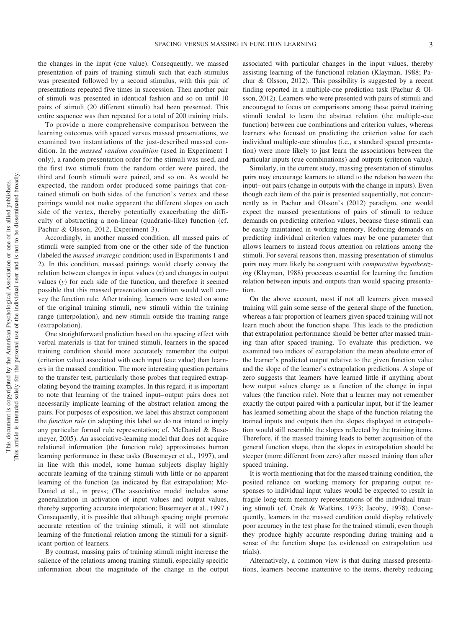the changes in the input (cue value). Consequently, we massed presentation of pairs of training stimuli such that each stimulus was presented followed by a second stimulus, with this pair of presentations repeated five times in succession. Then another pair of stimuli was presented in identical fashion and so on until 10 pairs of stimuli (20 different stimuli) had been presented. This entire sequence was then repeated for a total of 200 training trials.

To provide a more comprehensive comparison between the learning outcomes with spaced versus massed presentations, we examined two instantiations of the just-described massed condition. In the *massed random condition* (used in Experiment 1 only), a random presentation order for the stimuli was used, and the first two stimuli from the random order were paired, the third and fourth stimuli were paired, and so on. As would be expected, the random order produced some pairings that contained stimuli on both sides of the function's vertex and these pairings would not make apparent the different slopes on each side of the vertex, thereby potentially exacerbating the difficulty of abstracting a non-linear (quadratic-like) function (cf. Pachur & Olsson, 2012, Experiment 3).

Accordingly, in another massed condition, all massed pairs of stimuli were sampled from one or the other side of the function (labeled the *massed strategic* condition; used in Experiments 1 and 2). In this condition, massed pairings would clearly convey the relation between changes in input values (*x*) and changes in output values (*y*) for each side of the function, and therefore it seemed possible that this massed presentation condition would well convey the function rule. After training, learners were tested on some of the original training stimuli, new stimuli within the training range (interpolation), and new stimuli outside the training range (extrapolation).

One straightforward prediction based on the spacing effect with verbal materials is that for trained stimuli, learners in the spaced training condition should more accurately remember the output (criterion value) associated with each input (cue value) than learners in the massed condition. The more interesting question pertains to the transfer test, particularly those probes that required extrapolating beyond the training examples. In this regard, it is important to note that learning of the trained input– output pairs does not necessarily implicate learning of the abstract relation among the pairs. For purposes of exposition, we label this abstract component the *function rule* (in adopting this label we do not intend to imply any particular formal rule representation; cf. McDaniel & Busemeyer, 2005). An associative-learning model that does not acquire relational information (the function rule) approximates human learning performance in these tasks (Busemeyer et al., 1997), and in line with this model, some human subjects display highly accurate learning of the training stimuli with little or no apparent learning of the function (as indicated by flat extrapolation; Mc-Daniel et al., in press; (The associative model includes some generalization in activation of input values and output values, thereby supporting accurate interpolation; Busemeyer et al., 1997.) Consequently, it is possible that although spacing might promote accurate retention of the training stimuli, it will not stimulate learning of the functional relation among the stimuli for a significant portion of learners.

By contrast, massing pairs of training stimuli might increase the salience of the relations among training stimuli, especially specific information about the magnitude of the change in the output

associated with particular changes in the input values, thereby assisting learning of the functional relation (Klayman, 1988; Pachur & Olsson, 2012). This possibility is suggested by a recent finding reported in a multiple-cue prediction task (Pachur & Olsson, 2012). Learners who were presented with pairs of stimuli and encouraged to focus on comparisons among these paired training stimuli tended to learn the abstract relation (the multiple-cue function) between cue combinations and criterion values, whereas learners who focused on predicting the criterion value for each individual multiple-cue stimulus (i.e., a standard spaced presentation) were more likely to just learn the associations between the particular inputs (cue combinations) and outputs (criterion value).

Similarly, in the current study, massing presentation of stimulus pairs may encourage learners to attend to the relation between the input– out pairs (change in outputs with the change in inputs). Even though each item of the pair is presented sequentially, not concurrently as in Pachur and Olsson's (2012) paradigm, one would expect the massed presentations of pairs of stimuli to reduce demands on predicting criterion values, because these stimuli can be easily maintained in working memory. Reducing demands on predicting individual criterion values may be one parameter that allows learners to instead focus attention on relations among the stimuli. For several reasons then, massing presentation of stimulus pairs may more likely be congruent with *comparative hypothesizing* (Klayman, 1988) processes essential for learning the function relation between inputs and outputs than would spacing presentation.

On the above account, most if not all learners given massed training will gain some sense of the general shape of the function, whereas a fair proportion of learners given spaced training will not learn much about the function shape. This leads to the prediction that extrapolation performance should be better after massed training than after spaced training. To evaluate this prediction, we examined two indices of extrapolation: the mean absolute error of the learner's predicted output relative to the given function value and the slope of the learner's extrapolation predictions. A slope of zero suggests that learners have learned little if anything about how output values change as a function of the change in input values (the function rule). Note that a learner may not remember exactly the output paired with a particular input, but if the learner has learned something about the shape of the function relating the trained inputs and outputs then the slopes displayed in extrapolation would still resemble the slopes reflected by the training items. Therefore, if the massed training leads to better acquisition of the general function shape, then the slopes in extrapolation should be steeper (more different from zero) after massed training than after spaced training.

It is worth mentioning that for the massed training condition, the posited reliance on working memory for preparing output responses to individual input values would be expected to result in fragile long-term memory representations of the individual training stimuli (cf. Craik & Watkins, 1973; Jacoby, 1978). Consequently, learners in the massed condition could display relatively poor accuracy in the test phase for the trained stimuli, even though they produce highly accurate responding during training and a sense of the function shape (as evidenced on extrapolation test trials).

Alternatively, a common view is that during massed presentations, learners become inattentive to the items, thereby reducing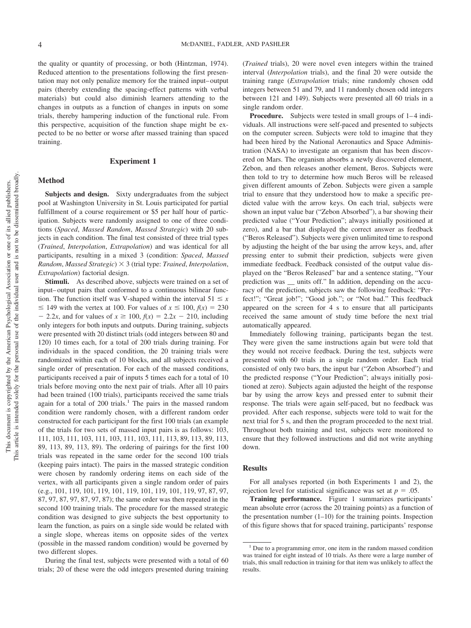the quality or quantity of processing, or both (Hintzman, 1974). Reduced attention to the presentations following the first presentation may not only penalize memory for the trained input– output pairs (thereby extending the spacing-effect patterns with verbal materials) but could also diminish learners attending to the changes in outputs as a function of changes in inputs on some trials, thereby hampering induction of the functional rule. From this perspective, acquisition of the function shape might be expected to be no better or worse after massed training than spaced training.

#### **Experiment 1**

#### **Method**

**Subjects and design.** Sixty undergraduates from the subject pool at Washington University in St. Louis participated for partial fulfillment of a course requirement or \$5 per half hour of participation. Subjects were randomly assigned to one of three conditions (*Spaced*, *Massed Random*, *Massed Strategic*) with 20 subjects in each condition. The final test consisted of three trial types (*Trained*, *Interpolation*, *Extrapolation*) and was identical for all participants, resulting in a mixed 3 (condition: *Spaced*, *Massed Random*, *Massed Strategic*) - 3 (trial type: *Trained*, *Interpolation*, *Extrapolation*) factorial design.

**Stimuli.** As described above, subjects were trained on a set of input– output pairs that conformed to a continuous bilinear function. The function itself was V-shaped within the interval  $51 \leq x$  $\leq$  149 with the vertex at 100. For values of  $x \leq 100$ ,  $f(x) = 230$  $-2.2x$ , and for values of  $x \ge 100$ ,  $f(x) = 2.2x - 210$ , including only integers for both inputs and outputs. During training, subjects were presented with 20 distinct trials (odd integers between 80 and 120) 10 times each, for a total of 200 trials during training. For individuals in the spaced condition, the 20 training trials were randomized within each of 10 blocks, and all subjects received a single order of presentation. For each of the massed conditions, participants received a pair of inputs 5 times each for a total of 10 trials before moving onto the next pair of trials. After all 10 pairs had been trained (100 trials), participants received the same trials again for a total of  $200$  trials.<sup>1</sup> The pairs in the massed random condition were randomly chosen, with a different random order constructed for each participant for the first 100 trials (an example of the trials for two sets of massed input pairs is as follows: 103, 111, 103, 111, 103, 111, 103, 111, 103, 111, 113, 89, 113, 89, 113, 89, 113, 89, 113, 89). The ordering of pairings for the first 100 trials was repeated in the same order for the second 100 trials (keeping pairs intact). The pairs in the massed strategic condition were chosen by randomly ordering items on each side of the vertex, with all participants given a single random order of pairs (e.g., 101, 119, 101, 119, 101, 119, 101, 119, 101, 119, 97, 87, 97, 87, 97, 87, 97, 87, 97, 87); the same order was then repeated in the second 100 training trials. The procedure for the massed strategic condition was designed to give subjects the best opportunity to learn the function, as pairs on a single side would be related with a single slope, whereas items on opposite sides of the vertex (possible in the massed random condition) would be governed by two different slopes.

During the final test, subjects were presented with a total of 60 trials; 20 of these were the odd integers presented during training (*Trained* trials), 20 were novel even integers within the trained interval (*Interpolation* trials), and the final 20 were outside the training range (*Extrapolation* trials; nine randomly chosen odd integers between 51 and 79, and 11 randomly chosen odd integers between 121 and 149). Subjects were presented all 60 trials in a single random order.

**Procedure.** Subjects were tested in small groups of 1–4 individuals. All instructions were self-paced and presented to subjects on the computer screen. Subjects were told to imagine that they had been hired by the National Aeronautics and Space Administration (NASA) to investigate an organism that has been discovered on Mars. The organism absorbs a newly discovered element, Zebon, and then releases another element, Beros. Subjects were then told to try to determine how much Beros will be released given different amounts of Zebon. Subjects were given a sample trial to ensure that they understood how to make a specific predicted value with the arrow keys. On each trial, subjects were shown an input value bar ("Zebon Absorbed"), a bar showing their predicted value ("Your Prediction"; always initially positioned at zero), and a bar that displayed the correct answer as feedback ("Beros Released"). Subjects were given unlimited time to respond by adjusting the height of the bar using the arrow keys, and, after pressing enter to submit their prediction, subjects were given immediate feedback. Feedback consisted of the output value displayed on the "Beros Released" bar and a sentence stating, "Your prediction was \_\_ units off." In addition, depending on the accuracy of the prediction, subjects saw the following feedback: "Perfect!"; "Great job!"; "Good job."; or "Not bad." This feedback appeared on the screen for 4 s to ensure that all participants received the same amount of study time before the next trial automatically appeared.

Immediately following training, participants began the test. They were given the same instructions again but were told that they would not receive feedback. During the test, subjects were presented with 60 trials in a single random order. Each trial consisted of only two bars, the input bar ("Zebon Absorbed") and the predicted response ("Your Prediction"; always initially positioned at zero). Subjects again adjusted the height of the response bar by using the arrow keys and pressed enter to submit their response. The trials were again self-paced, but no feedback was provided. After each response, subjects were told to wait for the next trial for 5 s, and then the program proceeded to the next trial. Throughout both training and test, subjects were monitored to ensure that they followed instructions and did not write anything down.

#### **Results**

For all analyses reported (in both Experiments 1 and 2), the rejection level for statistical significance was set at  $p = .05$ .

**Training performance.** Figure 1 summarizes participants' mean absolute error (across the 20 training points) as a function of the presentation number  $(1-10)$  for the training points. Inspection of this figure shows that for spaced training, participants' response

<sup>&</sup>lt;sup>1</sup> Due to a programming error, one item in the random massed condition was trained for eight instead of 10 trials. As there were a large number of trials, this small reduction in training for that item was unlikely to affect the results.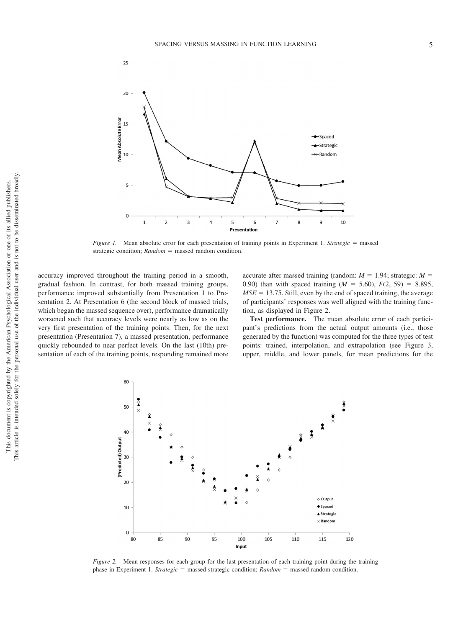

*Figure 1.* Mean absolute error for each presentation of training points in Experiment 1. *Strategic* = massed strategic condition; *Random* = massed random condition.

accuracy improved throughout the training period in a smooth, gradual fashion. In contrast, for both massed training groups, performance improved substantially from Presentation 1 to Presentation 2. At Presentation 6 (the second block of massed trials, which began the massed sequence over), performance dramatically worsened such that accuracy levels were nearly as low as on the very first presentation of the training points. Then, for the next presentation (Presentation 7), a massed presentation, performance quickly rebounded to near perfect levels. On the last (10th) presentation of each of the training points, responding remained more

accurate after massed training (random:  $M = 1.94$ ; strategic:  $M =$ 0.90) than with spaced training  $(M = 5.60)$ ,  $F(2, 59) = 8.895$ ,  $MSE = 13.75$ . Still, even by the end of spaced training, the average of participants' responses was well aligned with the training function, as displayed in Figure 2.

**Test performance.** The mean absolute error of each participant's predictions from the actual output amounts (i.e., those generated by the function) was computed for the three types of test points: trained, interpolation, and extrapolation (see Figure 3, upper, middle, and lower panels, for mean predictions for the



*Figure 2.* Mean responses for each group for the last presentation of each training point during the training phase in Experiment 1. *Strategic* = massed strategic condition; *Random* = massed random condition.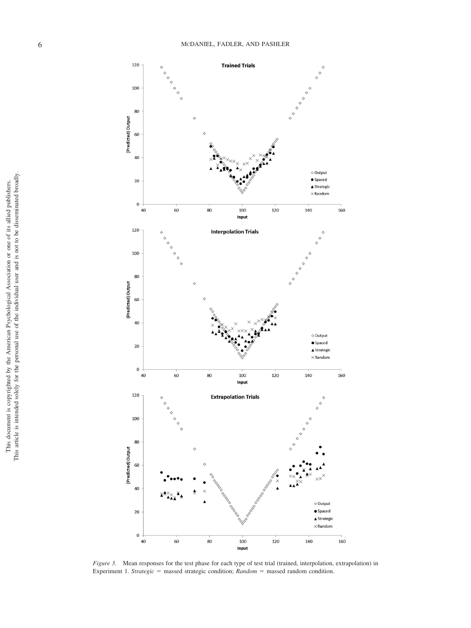

*Figure 3.* Mean responses for the test phase for each type of test trial (trained, interpolation, extrapolation) in Experiment 1. *Strategic* = massed strategic condition; *Random* = massed random condition.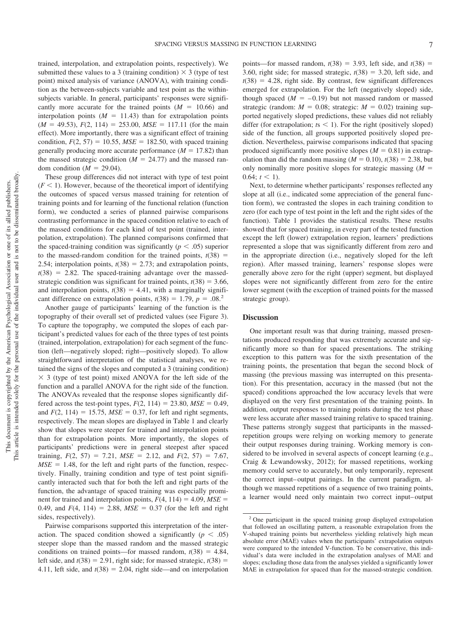trained, interpolation, and extrapolation points, respectively). We submitted these values to a 3 (training condition)  $\times$  3 (type of test point) mixed analysis of variance (ANOVA), with training condition as the between-subjects variable and test point as the withinsubjects variable. In general, participants' responses were significantly more accurate for the trained points  $(M = 10.66)$  and interpolation points  $(M = 11.43)$  than for extrapolation points  $(M = 49.53), F(2, 114) = 253.00, MSE = 117.11$  (for the main effect). More importantly, there was a significant effect of training condition,  $F(2, 57) = 10.55$ ,  $MSE = 182.50$ , with spaced training generally producing more accurate performance  $(M = 17.82)$  than the massed strategic condition ( $M = 24.77$ ) and the massed random condition  $(M = 29.04)$ .

These group differences did not interact with type of test point  $(F \leq 1)$ . However, because of the theoretical import of identifying the outcomes of spaced versus massed training for retention of training points and for learning of the functional relation (function form), we conducted a series of planned pairwise comparisons contrasting performance in the spaced condition relative to each of the massed conditions for each kind of test point (trained, interpolation, extrapolation). The planned comparisons confirmed that the spaced-training condition was significantly ( $p < .05$ ) superior to the massed-random condition for the trained points,  $t(38)$  = 2.54; interpolation points,  $t(38) = 2.73$ ; and extrapolation points,  $t(38) = 2.82$ . The spaced-training advantage over the massedstrategic condition was significant for trained points,  $t(38) = 3.66$ , and interpolation points,  $t(38) = 4.41$ , with a marginally significant difference on extrapolation points,  $t(38) = 1.79$ ,  $p = .08<sup>2</sup>$ 

Another gauge of participants' learning of the function is the topography of their overall set of predicted values (see Figure 3). To capture the topography, we computed the slopes of each participant's predicted values for each of the three types of test points (trained, interpolation, extrapolation) for each segment of the function (left—negatively sloped; right—positively sloped). To allow straightforward interpretation of the statistical analyses, we retained the signs of the slopes and computed a 3 (training condition)  $\times$  3 (type of test point) mixed ANOVA for the left side of the function and a parallel ANOVA for the right side of the function. The ANOVAs revealed that the response slopes significantly differed across the test-point types,  $F(2, 114) = 23.80$ ,  $MSE = 0.49$ , and  $F(2, 114) = 15.75$ ,  $MSE = 0.37$ , for left and right segments, respectively. The mean slopes are displayed in Table 1 and clearly show that slopes were steeper for trained and interpolation points than for extrapolation points. More importantly, the slopes of participants' predictions were in general steepest after spaced training,  $F(2, 57) = 7.21$ ,  $MSE = 2.12$ , and  $F(2, 57) = 7.67$ ,  $MSE = 1.48$ , for the left and right parts of the function, respectively. Finally, training condition and type of test point significantly interacted such that for both the left and right parts of the function, the advantage of spaced training was especially prominent for trained and interpolation points,  $F(4, 114) = 4.09$ ,  $MSE =$ 0.49, and  $F(4, 114) = 2.88$ ,  $MSE = 0.37$  (for the left and right sides, respectively).

Pairwise comparisons supported this interpretation of the interaction. The spaced condition showed a significantly  $(p < .05)$ steeper slope than the massed random and the massed strategic conditions on trained points—for massed random,  $t(38) = 4.84$ , left side, and  $t(38) = 2.91$ , right side; for massed strategic,  $t(38) =$ 4.11, left side, and  $t(38) = 2.04$ , right side—and on interpolation

points—for massed random,  $t(38) = 3.93$ , left side, and  $t(38) =$ 3.60, right side; for massed strategic,  $t(38) = 3.20$ , left side, and  $t(38) = 4.28$ , right side. By contrast, few significant differences emerged for extrapolation. For the left (negatively sloped) side, though spaced  $(M = -0.19)$  but not massed random or massed strategic (random:  $M = 0.08$ ; strategic:  $M = 0.02$ ) training supported negatively sloped predictions, these values did not reliably differ (for extrapolation;  $ts < 1$ ). For the right (positively sloped) side of the function, all groups supported positively sloped prediction. Nevertheless, pairwise comparisons indicated that spacing produced significantly more positive slopes ( $M = 0.81$ ) in extrapolation than did the random massing  $(M = 0.10)$ ,  $t(38) = 2.38$ , but only nominally more positive slopes for strategic massing (*M*  $0.64$ ;  $t < 1$ ).

Next, to determine whether participants' responses reflected any slope at all (i.e., indicated some appreciation of the general function form), we contrasted the slopes in each training condition to zero (for each type of test point in the left and the right sides of the function). Table 1 provides the statistical results. These results showed that for spaced training, in every part of the tested function except the left (lower) extrapolation region, learners' predictions represented a slope that was significantly different from zero and in the appropriate direction (i.e., negatively sloped for the left region). After massed training, learners' response slopes were generally above zero for the right (upper) segment, but displayed slopes were not significantly different from zero for the entire lower segment (with the exception of trained points for the massed strategic group).

#### **Discussion**

One important result was that during training, massed presentations produced responding that was extremely accurate and significantly more so than for spaced presentations. The striking exception to this pattern was for the sixth presentation of the training points, the presentation that began the second block of massing (the previous massing was interrupted on this presentation). For this presentation, accuracy in the massed (but not the spaced) conditions approached the low accuracy levels that were displayed on the very first presentation of the training points. In addition, output responses to training points during the test phase were less accurate after massed training relative to spaced training. These patterns strongly suggest that participants in the massedrepetition groups were relying on working memory to generate their output responses during training. Working memory is considered to be involved in several aspects of concept learning (e.g., Craig & Lewandowsky, 2012); for massed repetitions, working memory could serve to accurately, but only temporarily, represent the correct input– output pairings. In the current paradigm, although we massed repetitions of a sequence of two training points, a learner would need only maintain two correct input– output

<sup>&</sup>lt;sup>2</sup> One participant in the spaced training group displayed extrapolation that followed an oscillating pattern, a reasonable extrapolation from the V-shaped training points but nevertheless yielding relatively high mean absolute error (MAE) values when the participants' extrapolation outputs were compared to the intended V-function. To be conservative, this individual's data were included in the extrapolation analyses of MAE and slopes; excluding those data from the analyses yielded a significantly lower MAE in extrapolation for spaced than for the massed-strategic condition.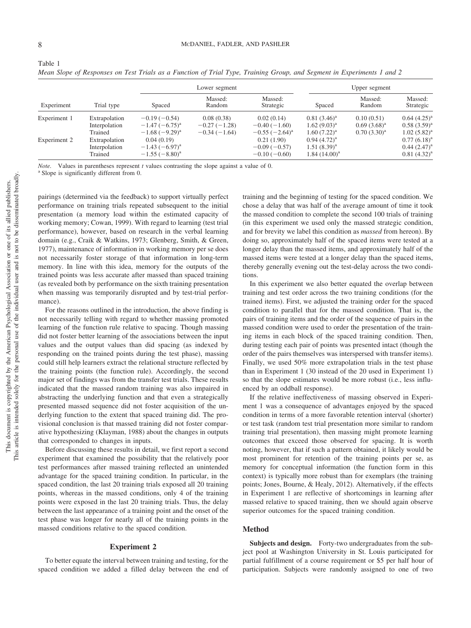Table 1

| Experiment   | Trial type                                | Lower segment                                              |                                                |                                                                  | Upper segment                                                  |                                                          |                                                          |
|--------------|-------------------------------------------|------------------------------------------------------------|------------------------------------------------|------------------------------------------------------------------|----------------------------------------------------------------|----------------------------------------------------------|----------------------------------------------------------|
|              |                                           | Spaced                                                     | Massed:<br>Random                              | Massed:<br>Strategic                                             | Spaced                                                         | Massed:<br>Random                                        | Massed:<br>Strategic                                     |
| Experiment 1 | Extrapolation<br>Interpolation<br>Trained | $-0.19(-0.54)$<br>$-1.47(-6.75)^{a}$<br>$-1.68(-9.29)^{a}$ | 0.08(0.38)<br>$-0.27(-1.28)$<br>$-0.34(-1.64)$ | 0.02(0.14)<br>$-0.40(-1.60)$<br>$-0.55$ ( $-2.64$ ) <sup>a</sup> | $0.81(3.46)$ <sup>a</sup><br>$1.62 (9.03)^a$<br>$1.60(7.22)^a$ | 0.10(0.51)<br>$0.69(3.68)^a$<br>(0.70(3.30) <sup>a</sup> | $0.64$ $(4.25)^a$<br>$0.58(3.59)^{a}$<br>$1.02 (5.82)^a$ |
| Experiment 2 | Extrapolation<br>Interpolation<br>Trained | 0.04(0.19)<br>$-1.43$ $(-6.97)^{a}$<br>$-1.55(-8.80)^{a}$  |                                                | 0.21(1.90)<br>$-0.09(-0.57)$<br>$-0.10(-0.60)$                   | $0.94$ $(4.72)^a$<br>$1.51(8.39)^a$<br>$1.84 (14.00)^a$        |                                                          | $0.77(6.18)^a$<br>$0.44(2.47)^{a}$<br>$0.81(4.32)^a$     |

*Mean Slope of Responses on Test Trials as a Function of Trial Type, Training Group, and Segment in Experiments 1 and 2*

*Note.* Values in parentheses represent *t* values contrasting the slope against a value of 0. a Slope is significantly different from 0.

pairings (determined via the feedback) to support virtually perfect performance on training trials repeated subsequent to the initial presentation (a memory load within the estimated capacity of working memory; Cowan, 1999). With regard to learning (test trial performance), however, based on research in the verbal learning domain (e.g., Craik & Watkins, 1973; Glenberg, Smith, & Green, 1977), maintenance of information in working memory per se does not necessarily foster storage of that information in long-term memory. In line with this idea, memory for the outputs of the trained points was less accurate after massed than spaced training (as revealed both by performance on the sixth training presentation when massing was temporarily disrupted and by test-trial performance).

For the reasons outlined in the introduction, the above finding is not necessarily telling with regard to whether massing promoted learning of the function rule relative to spacing. Though massing did not foster better learning of the associations between the input values and the output values than did spacing (as indexed by responding on the trained points during the test phase), massing could still help learners extract the relational structure reflected by the training points (the function rule). Accordingly, the second major set of findings was from the transfer test trials. These results indicated that the massed random training was also impaired in abstracting the underlying function and that even a strategically presented massed sequence did not foster acquisition of the underlying function to the extent that spaced training did. The provisional conclusion is that massed training did not foster comparative hypothesizing (Klayman, 1988) about the changes in outputs that corresponded to changes in inputs.

Before discussing these results in detail, we first report a second experiment that examined the possibility that the relatively poor test performances after massed training reflected an unintended advantage for the spaced training condition. In particular, in the spaced condition, the last 20 training trials exposed all 20 training points, whereas in the massed conditions, only 4 of the training points were exposed in the last 20 training trials. Thus, the delay between the last appearance of a training point and the onset of the test phase was longer for nearly all of the training points in the massed conditions relative to the spaced condition.

#### **Experiment 2**

To better equate the interval between training and testing, for the spaced condition we added a filled delay between the end of training and the beginning of testing for the spaced condition. We chose a delay that was half of the average amount of time it took the massed condition to complete the second 100 trials of training (in this experiment we used only the massed strategic condition, and for brevity we label this condition as *massed* from hereon). By doing so, approximately half of the spaced items were tested at a longer delay than the massed items, and approximately half of the massed items were tested at a longer delay than the spaced items, thereby generally evening out the test-delay across the two conditions.

In this experiment we also better equated the overlap between training and test order across the two training conditions (for the trained items). First, we adjusted the training order for the spaced condition to parallel that for the massed condition. That is, the pairs of training items and the order of the sequence of pairs in the massed condition were used to order the presentation of the training items in each block of the spaced training condition. Then, during testing each pair of points was presented intact (though the order of the pairs themselves was interspersed with transfer items). Finally, we used 50% more extrapolation trials in the test phase than in Experiment 1 (30 instead of the 20 used in Experiment 1) so that the slope estimates would be more robust (i.e., less influenced by an oddball response).

If the relative ineffectiveness of massing observed in Experiment 1 was a consequence of advantages enjoyed by the spaced condition in terms of a more favorable retention interval (shorter) or test task (random test trial presentation more similar to random training trial presentation), then massing might promote learning outcomes that exceed those observed for spacing. It is worth noting, however, that if such a pattern obtained, it likely would be most prominent for retention of the training points per se, as memory for conceptual information (the function form in this context) is typically more robust than for exemplars (the training points; Jones, Bourne, & Healy, 2012). Alternatively, if the effects in Experiment 1 are reflective of shortcomings in learning after massed relative to spaced training, then we should again observe superior outcomes for the spaced training condition.

#### **Method**

**Subjects and design.** Forty-two undergraduates from the subject pool at Washington University in St. Louis participated for partial fulfillment of a course requirement or \$5 per half hour of participation. Subjects were randomly assigned to one of two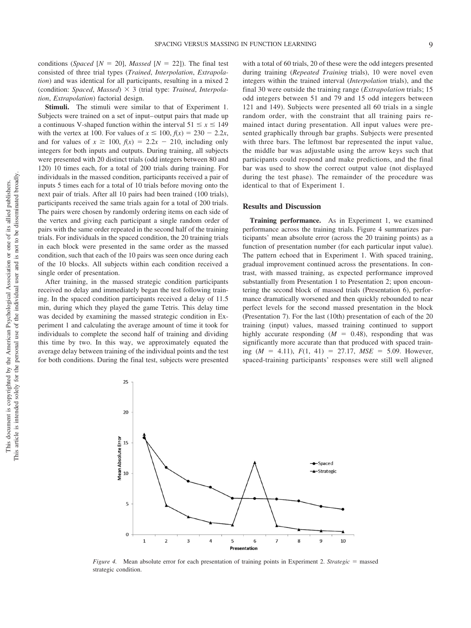conditions (*Spaced* [ $N = 20$ ], *Massed* [ $N = 22$ ]). The final test consisted of three trial types (*Trained*, *Interpolation*, *Extrapolation*) and was identical for all participants, resulting in a mixed 2 (condition: *Spaced*, *Massed*) × 3 (trial type: *Trained*, *Interpolation*, *Extrapolation*) factorial design.

**Stimuli.** The stimuli were similar to that of Experiment 1. Subjects were trained on a set of input– output pairs that made up a continuous V-shaped function within the interval  $51 \le x \le 149$ with the vertex at 100. For values of  $x \le 100$ ,  $f(x) = 230 - 2.2x$ , and for values of  $x \ge 100$ ,  $f(x) = 2.2x - 210$ , including only integers for both inputs and outputs. During training, all subjects were presented with 20 distinct trials (odd integers between 80 and 120) 10 times each, for a total of 200 trials during training. For individuals in the massed condition, participants received a pair of inputs 5 times each for a total of 10 trials before moving onto the next pair of trials. After all 10 pairs had been trained (100 trials), participants received the same trials again for a total of 200 trials. The pairs were chosen by randomly ordering items on each side of the vertex and giving each participant a single random order of pairs with the same order repeated in the second half of the training trials. For individuals in the spaced condition, the 20 training trials in each block were presented in the same order as the massed condition, such that each of the 10 pairs was seen once during each of the 10 blocks. All subjects within each condition received a single order of presentation.

After training, in the massed strategic condition participants received no delay and immediately began the test following training. In the spaced condition participants received a delay of 11.5 min, during which they played the game Tetris. This delay time was decided by examining the massed strategic condition in Experiment 1 and calculating the average amount of time it took for individuals to complete the second half of training and dividing this time by two. In this way, we approximately equated the average delay between training of the individual points and the test for both conditions. During the final test, subjects were presented

with a total of 60 trials, 20 of these were the odd integers presented during training (*Repeated Training* trials), 10 were novel even integers within the trained interval (*Interpolation* trials), and the final 30 were outside the training range (*Extrapolation* trials; 15 odd integers between 51 and 79 and 15 odd integers between 121 and 149). Subjects were presented all 60 trials in a single random order, with the constraint that all training pairs remained intact during presentation. All input values were presented graphically through bar graphs. Subjects were presented with three bars. The leftmost bar represented the input value, the middle bar was adjustable using the arrow keys such that participants could respond and make predictions, and the final bar was used to show the correct output value (not displayed during the test phase). The remainder of the procedure was identical to that of Experiment 1.

#### **Results and Discussion**

**Training performance.** As in Experiment 1, we examined performance across the training trials. Figure 4 summarizes participants' mean absolute error (across the 20 training points) as a function of presentation number (for each particular input value). The pattern echoed that in Experiment 1. With spaced training, gradual improvement continued across the presentations. In contrast, with massed training, as expected performance improved substantially from Presentation 1 to Presentation 2; upon encountering the second block of massed trials (Presentation 6), performance dramatically worsened and then quickly rebounded to near perfect levels for the second massed presentation in the block (Presentation 7). For the last (10th) presentation of each of the 20 training (input) values, massed training continued to support highly accurate responding  $(M = 0.48)$ , responding that was significantly more accurate than that produced with spaced training  $(M = 4.11)$ ,  $F(1, 41) = 27.17$ ,  $MSE = 5.09$ . However, spaced-training participants' responses were still well aligned



*Figure 4.* Mean absolute error for each presentation of training points in Experiment 2. *Strategic* = massed strategic condition.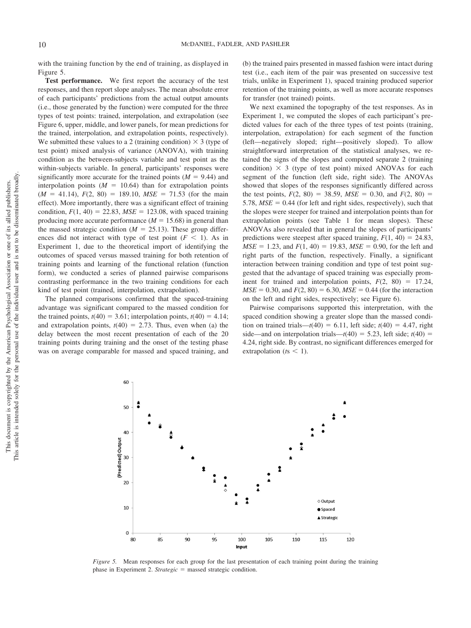with the training function by the end of training, as displayed in Figure 5.

**Test performance.** We first report the accuracy of the test responses, and then report slope analyses. The mean absolute error of each participants' predictions from the actual output amounts (i.e., those generated by the function) were computed for the three types of test points: trained, interpolation, and extrapolation (see Figure 6, upper, middle, and lower panels, for mean predictions for the trained, interpolation, and extrapolation points, respectively). We submitted these values to a 2 (training condition)  $\times$  3 (type of test point) mixed analysis of variance (ANOVA), with training condition as the between-subjects variable and test point as the within-subjects variable. In general, participants' responses were significantly more accurate for the trained points  $(M = 9.44)$  and interpolation points  $(M = 10.64)$  than for extrapolation points  $(M = 41.14), F(2, 80) = 189.10, MSE = 71.53$  (for the main effect). More importantly, there was a significant effect of training condition,  $F(1, 40) = 22.83$ ,  $MSE = 123.08$ , with spaced training producing more accurate performance  $(M = 15.68)$  in general than the massed strategic condition ( $M = 25.13$ ). These group differences did not interact with type of test point  $(F \leq 1)$ . As in Experiment 1, due to the theoretical import of identifying the outcomes of spaced versus massed training for both retention of training points and learning of the functional relation (function form), we conducted a series of planned pairwise comparisons contrasting performance in the two training conditions for each kind of test point (trained, interpolation, extrapolation).

The planned comparisons confirmed that the spaced-training advantage was significant compared to the massed condition for the trained points,  $t(40) = 3.61$ ; interpolation points,  $t(40) = 4.14$ ; and extrapolation points,  $t(40) = 2.73$ . Thus, even when (a) the delay between the most recent presentation of each of the 20 training points during training and the onset of the testing phase was on average comparable for massed and spaced training, and (b) the trained pairs presented in massed fashion were intact during test (i.e., each item of the pair was presented on successive test trials, unlike in Experiment 1), spaced training produced superior retention of the training points, as well as more accurate responses for transfer (not trained) points.

We next examined the topography of the test responses. As in Experiment 1, we computed the slopes of each participant's predicted values for each of the three types of test points (training, interpolation, extrapolation) for each segment of the function (left—negatively sloped; right—positively sloped). To allow straightforward interpretation of the statistical analyses, we retained the signs of the slopes and computed separate 2 (training condition)  $\times$  3 (type of test point) mixed ANOVAs for each segment of the function (left side, right side). The ANOVAs showed that slopes of the responses significantly differed across the test points,  $F(2, 80) = 38.59$ ,  $MSE = 0.30$ , and  $F(2, 80) =$ 5.78,  $MSE = 0.44$  (for left and right sides, respectively), such that the slopes were steeper for trained and interpolation points than for extrapolation points (see Table 1 for mean slopes). These ANOVAs also revealed that in general the slopes of participants' predictions were steepest after spaced training,  $F(1, 40) = 24.83$ ,  $MSE = 1.23$ , and  $F(1, 40) = 19.83$ ,  $MSE = 0.90$ , for the left and right parts of the function, respectively. Finally, a significant interaction between training condition and type of test point suggested that the advantage of spaced training was especially prominent for trained and interpolation points,  $F(2, 80) = 17.24$ ,  $MSE = 0.30$ , and  $F(2, 80) = 6.30$ ,  $MSE = 0.44$  (for the interaction on the left and right sides, respectively; see Figure 6).

Pairwise comparisons supported this interpretation, with the spaced condition showing a greater slope than the massed condition on trained trials— $t(40) = 6.11$ , left side;  $t(40) = 4.47$ , right side—and on interpolation trials— $t(40) = 5.23$ , left side;  $t(40) =$ 4.24, right side. By contrast, no significant differences emerged for extrapolation ( $t s < 1$ ).



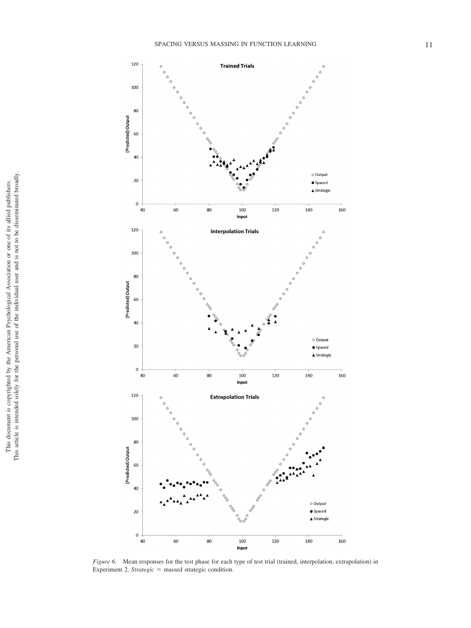

*Figure 6.* Mean responses for the test phase for each type of test trial (trained, interpolation, extrapolation) in Experiment 2. *Strategic* = massed strategic condition.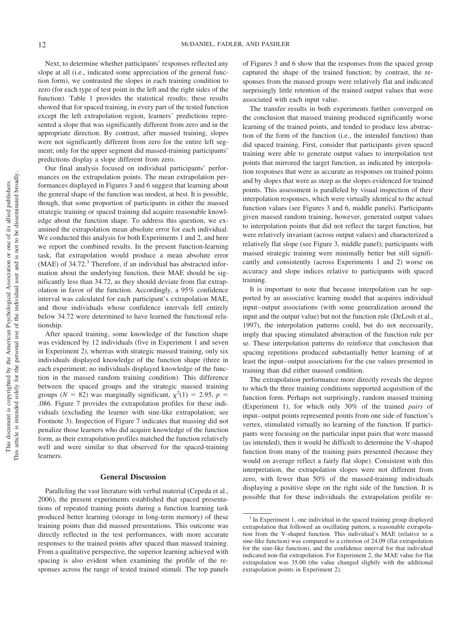Next, to determine whether participants' responses reflected any slope at all (i.e., indicated some appreciation of the general function form), we contrasted the slopes in each training condition to zero (for each type of test point in the left and the right sides of the function). Table 1 provides the statistical results; these results showed that for spaced training, in every part of the tested function except the left extrapolation region, learners' predictions represented a slope that was significantly different from zero and in the appropriate direction. By contrast, after massed training, slopes were not significantly different from zero for the entire left segment; only for the upper segment did massed-training participants' predictions display a slope different from zero.

Our final analysis focused on individual participants' performances on the extrapolation points. The mean extrapolation performances displayed in Figures 3 and 6 suggest that learning about the general shape of the function was modest, at best. It is possible, though, that some proportion of participants in either the massed strategic training or spaced training did acquire reasonable knowledge about the function shape. To address this question, we examined the extrapolation mean absolute error for each individual. We conducted this analysis for both Experiments 1 and 2, and here we report the combined results. In the present function-learning task, flat extrapolation would produce a mean absolute error (MAE) of 34.72.3 Therefore, if an individual has abstracted information about the underlying function, their MAE should be significantly less than 34.72, as they should deviate from flat extrapolation in favor of the function. Accordingly, a 95% confidence interval was calculated for each participant's extrapolation MAE, and those individuals whose confidence intervals fell entirely below 34.72 were determined to have learned the functional relationship.

After spaced training, some knowledge of the function shape was evidenced by 12 individuals (five in Experiment 1 and seven in Experiment 2), whereas with strategic massed training, only six individuals displayed knowledge of the function shape (three in each experiment; no individuals displayed knowledge of the function in the massed random training condition). This difference between the spaced groups and the strategic massed training groups ( $N = 82$ ) was marginally significant,  $\chi^2(1) = 2.95$ ,  $p =$ .086. Figure 7 provides the extrapolation profiles for these individuals (excluding the learner with sine-like extrapolation; see Footnote 3). Inspection of Figure 7 indicates that massing did not penalize those learners who did acquire knowledge of the function form, as their extrapolation profiles matched the function relatively well and were similar to that observed for the spaced-training learners.

#### **General Discussion**

Paralleling the vast literature with verbal material (Cepeda et al., 2006), the present experiments established that spaced presentations of repeated training points during a function learning task produced better learning (storage in long-term memory) of these training points than did massed presentations. This outcome was directly reflected in the test performances, with more accurate responses to the trained points after spaced than massed training. From a qualitative perspective, the superior learning achieved with spacing is also evident when examining the profile of the responses across the range of tested trained stimuli. The top panels of Figures 3 and 6 show that the responses from the spaced group captured the shape of the trained function; by contrast, the responses from the massed groups were relatively flat and indicated surprisingly little retention of the trained output values that were associated with each input value.

The transfer results in both experiments further converged on the conclusion that massed training produced significantly worse learning of the trained points, and tended to produce less abstraction of the form of the function (i.e., the intended function) than did spaced training. First, consider that participants given spaced training were able to generate output values to interpolation test points that mirrored the target function, as indicated by interpolation responses that were as accurate as responses on trained points and by slopes that were as steep as the slopes evidenced for trained points. This assessment is paralleled by visual inspection of their interpolation responses, which were virtually identical to the actual function values (see Figures 3 and 6, middle panels). Participants given massed random training, however, generated output values to interpolation points that did not reflect the target function, but were relatively invariant (across output values) and characterized a relatively flat slope (see Figure 3, middle panel); participants with massed strategic training were minimally better but still significantly and consistently (across Experiments 1 and 2) worse on accuracy and slope indices relative to participants with spaced training.

It is important to note that because interpolation can be supported by an associative learning model that acquires individual input– output associations (with some generalization around the input and the output value) but not the function rule (DeLosh et al., 1997), the interpolation patterns could, but do not necessarily, imply that spacing stimulated abstraction of the function rule per se. These interpolation patterns do reinforce that conclusion that spacing repetitions produced substantially better learning of at least the input– output associations for the cue values presented in training than did either massed condition.

The extrapolation performance more directly reveals the degree to which the three training conditions supported acquisition of the function form. Perhaps not surprisingly, random massed training (Experiment 1), for which only 30% of the trained *pairs* of input– output points represented points from one side of function's vertex, stimulated virtually no learning of the function. If participants were focusing on the particular input pairs that were massed (as intended), then it would be difficult to determine the V-shaped function from many of the training pairs presented (because they would on average reflect a fairly flat slope). Consistent with this interpretation, the extrapolation slopes were not different from zero, with fewer than 50% of the massed-training individuals displaying a positive slope on the right side of the function. It is possible that for these individuals the extrapolation profile re-

<sup>&</sup>lt;sup>3</sup> In Experiment 1, one individual in the spaced training group displayed extrapolation that followed an oscillating pattern, a reasonable extrapolation from the V-shaped function. This individual's MAE (relative to a sine-like function) was compared to a criterion of 24.09 (flat extrapolation for the sine-like function), and the confidence interval for that individual indicated non-flat extrapolation. For Experiment 2, the MAE value for flat extrapolation was 35.00 (the value changed slightly with the additional extrapolation points in Experiment 2).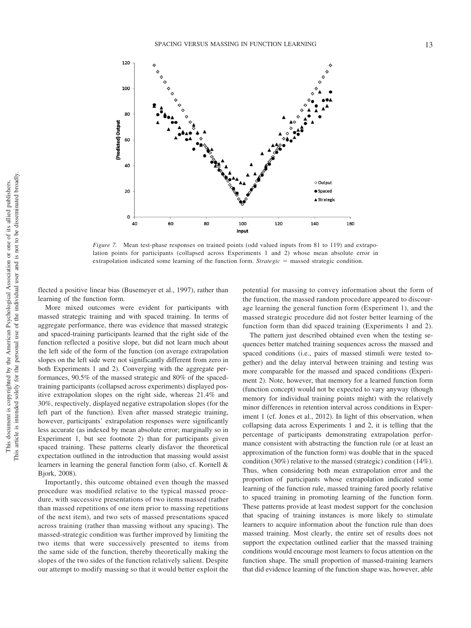

*Figure 7.* Mean test-phase responses on trained points (odd valued inputs from 81 to 119) and extrapolation points for participants (collapsed across Experiments 1 and 2) whose mean absolute error in extrapolation indicated some learning of the function form. *Strategic* = massed strategic condition.

flected a positive linear bias (Busemeyer et al., 1997), rather than learning of the function form.

More mixed outcomes were evident for participants with massed strategic training and with spaced training. In terms of aggregate performance, there was evidence that massed strategic and spaced-training participants learned that the right side of the function reflected a positive slope, but did not learn much about the left side of the form of the function (on average extrapolation slopes on the left side were not significantly different from zero in both Experiments 1 and 2). Converging with the aggregate performances, 90.5% of the massed strategic and 80% of the spacedtraining participants (collapsed across experiments) displayed positive extrapolation slopes on the right side, whereas 21.4% and 30%, respectively, displayed negative extrapolation slopes (for the left part of the function). Even after massed strategic training, however, participants' extrapolation responses were significantly less accurate (as indexed by mean absolute error; marginally so in Experiment 1, but see footnote 2) than for participants given spaced training. These patterns clearly disfavor the theoretical expectation outlined in the introduction that massing would assist learners in learning the general function form (also, cf. Kornell & Bjork, 2008).

Importantly, this outcome obtained even though the massed procedure was modified relative to the typical massed procedure, with successive presentations of two items massed (rather than massed repetitions of one item prior to massing repetitions of the next item), and two sets of massed presentations spaced across training (rather than massing without any spacing). The massed-strategic condition was further improved by limiting the two items that were successively presented to items from the same side of the function, thereby theoretically making the slopes of the two sides of the function relatively salient. Despite our attempt to modify massing so that it would better exploit the potential for massing to convey information about the form of the function, the massed random procedure appeared to discourage learning the general function form (Experiment 1), and the massed strategic procedure did not foster better learning of the function form than did spaced training (Experiments 1 and 2).

The pattern just described obtained even when the testing sequences better matched training sequences across the massed and spaced conditions (i.e., pairs of massed stimuli were tested together) and the delay interval between training and testing was more comparable for the massed and spaced conditions (Experiment 2). Note, however, that memory for a learned function form (function concept) would not be expected to vary anyway (though memory for individual training points might) with the relatively minor differences in retention interval across conditions in Experiment 1 (cf. Jones et al., 2012). In light of this observation, when collapsing data across Experiments 1 and 2, it is telling that the percentage of participants demonstrating extrapolation performance consistent with abstracting the function rule (or at least an approximation of the function form) was double that in the spaced condition (30%) relative to the massed (strategic) condition (14%). Thus, when considering both mean extrapolation error and the proportion of participants whose extrapolation indicated some learning of the function rule, massed training fared poorly relative to spaced training in promoting learning of the function form. These patterns provide at least modest support for the conclusion that spacing of training instances is more likely to stimulate learners to acquire information about the function rule than does massed training. Most clearly, the entire set of results does not support the expectation outlined earlier that the massed training conditions would encourage most learners to focus attention on the function shape. The small proportion of massed-training learners that did evidence learning of the function shape was, however, able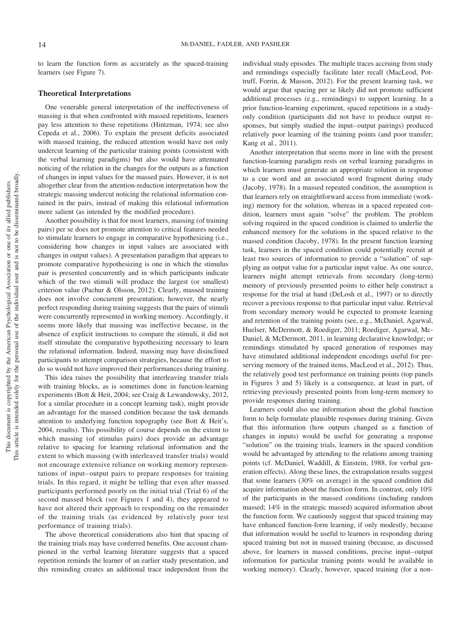to learn the function form as accurately as the spaced-training learners (see Figure 7).

#### **Theoretical Interpretations**

One venerable general interpretation of the ineffectiveness of massing is that when confronted with massed repetitions, learners pay less attention to these repetitions (Hintzman, 1974; see also Cepeda et al., 2006). To explain the present deficits associated with massed training, the reduced attention would have not only undercut learning of the particular training points (consistent with the verbal learning paradigms) but also would have attenuated noticing of the relation in the changes for the outputs as a function of changes in input values for the massed pairs. However, it is not altogether clear from the attention-reduction interpretation how the strategic massing undercut noticing the relational information contained in the pairs, instead of making this relational information more salient (as intended by the modified procedure).

Another possibility is that for most learners, massing (of training pairs) per se does not promote attention to critical features needed to stimulate learners to engage in comparative hypothesizing (i.e., considering how changes in input values are associated with changes in output values). A presentation paradigm that appears to promote comparative hypothesizing is one in which the stimulus pair is presented concurrently and in which participants indicate which of the two stimuli will produce the largest (or smallest) criterion value (Pachur & Olsson, 2012). Clearly, massed training does not involve concurrent presentation; however, the nearly perfect responding during training suggests that the pairs of stimuli were concurrently represented in working memory. Accordingly, it seems more likely that massing was ineffective because, in the absence of explicit instructions to compare the stimuli, it did not itself stimulate the comparative hypothesizing necessary to learn the relational information. Indeed, massing may have disinclined participants to attempt comparison strategies, because the effort to do so would not have improved their performances during training.

This idea raises the possibility that interleaving transfer trials with training blocks, as is sometimes done in function-learning experiments (Bott & Heit, 2004; see Craig & Lewandowsky, 2012, for a similar procedure in a concept learning task), might provide an advantage for the massed condition because the task demands attention to underlying function topography (see Bott & Heit's, 2004, results). This possibility of course depends on the extent to which massing (of stimulus pairs) does provide an advantage relative to spacing for learning relational information and the extent to which massing (with interleaved transfer trials) would not encourage extensive reliance on working memory representations of input– output pairs to prepare responses for training trials. In this regard, it might be telling that even after massed participants performed poorly on the initial trial (Trial 6) of the second massed block (see Figures 1 and 4), they appeared to have not altered their approach to responding on the remainder of the training trials (as evidenced by relatively poor test performance of training trials).

The above theoretical considerations also hint that spacing of the training trials may have conferred benefits. One account championed in the verbal learning literature suggests that a spaced repetition reminds the learner of an earlier study presentation, and this reminding creates an additional trace independent from the individual study episodes. The multiple traces accruing from study and remindings especially facilitate later recall (MacLeod, Pottruff, Forrin, & Masson, 2012). For the present learning task, we would argue that spacing per se likely did not promote sufficient additional processes (e.g., remindings) to support learning. In a prior function-learning experiment, spaced repetitions in a studyonly condition (participants did not have to produce output responses, but simply studied the input– output pairings) produced relatively poor learning of the training points (and poor transfer; Kang et al., 2011).

Another interpretation that seems more in line with the present function-learning paradigm rests on verbal learning paradigms in which learners must generate an appropriate solution in response to a cue word and an associated word fragment during study (Jacoby, 1978). In a massed repeated condition, the assumption is that learners rely on straightforward access from immediate (working) memory for the solution, whereas in a spaced repeated condition, learners must again "solve" the problem. The problem solving required in the spaced condition is claimed to underlie the enhanced memory for the solutions in the spaced relative to the massed condition (Jacoby, 1978). In the present function learning task, learners in the spaced condition could potentially recruit at least two sources of information to provide a "solution" of supplying an output value for a particular input value. As one source, learners might attempt retrievals from secondary (long-term) memory of previously presented points to either help construct a response for the trial at hand (DeLosh et al., 1997) or to directly recover a previous response to that particular input value. Retrieval from secondary memory would be expected to promote learning and retention of the training points (see, e.g., McDaniel, Agarwal, Huelser, McDermott, & Roediger, 2011; Roediger, Agarwal, Mc-Daniel, & McDermott, 2011, in learning declarative knowledge; or remindings stimulated by spaced generation of responses may have stimulated additional independent encodings useful for preserving memory of the trained items, MacLeod et al., 2012). Thus, the relatively good test performance on training points (top panels in Figures 3 and 5) likely is a consequence, at least in part, of retrieving previously presented points from long-term memory to provide responses during training.

Learners could also use information about the global function form to help formulate plausible responses during training. Given that this information (how outputs changed as a function of changes in inputs) would be useful for generating a response "solution" on the training trials, learners in the spaced condition would be advantaged by attending to the relations among training points (cf. McDaniel, Waddill, & Einstein, 1988, for verbal generation effects). Along these lines, the extrapolation results suggest that some learners (30% on average) in the spaced condition did acquire information about the function form. In contrast, only 10% of the participants in the massed conditions (including random massed; 14% in the strategic massed) acquired information about the function form. We cautiously suggest that spaced training may have enhanced function-form learning, if only modestly, because that information would be useful to learners in responding during spaced training but not in massed training (because, as discussed above, for learners in massed conditions, precise input– output information for particular training points would be available in working memory). Clearly, however, spaced training (for a non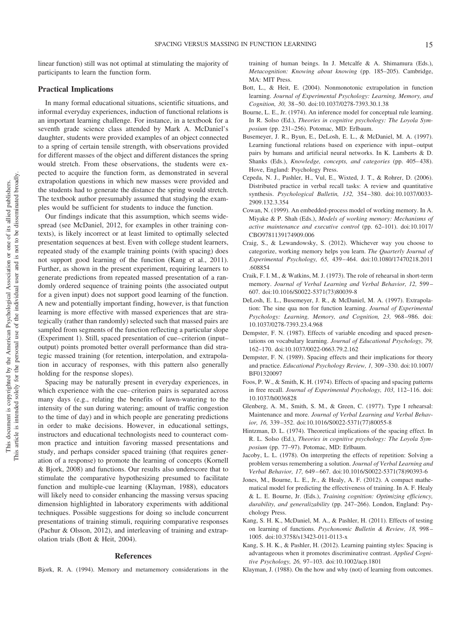linear function) still was not optimal at stimulating the majority of participants to learn the function form.

#### **Practical Implications**

In many formal educational situations, scientific situations, and informal everyday experiences, induction of functional relations is an important learning challenge. For instance, in a textbook for a seventh grade science class attended by Mark A. McDaniel's daughter, students were provided examples of an object connected to a spring of certain tensile strength, with observations provided for different masses of the object and different distances the spring would stretch. From these observations, the students were expected to acquire the function form, as demonstrated in several extrapolation questions in which new masses were provided and the students had to generate the distance the spring would stretch. The textbook author presumably assumed that studying the examples would be sufficient for students to induce the function.

Our findings indicate that this assumption, which seems widespread (see McDaniel, 2012, for examples in other training contexts), is likely incorrect or at least limited to optimally selected presentation sequences at best. Even with college student learners, repeated study of the example training points (with spacing) does not support good learning of the function (Kang et al., 2011). Further, as shown in the present experiment, requiring learners to generate predictions from repeated massed presentation of a randomly ordered sequence of training points (the associated output for a given input) does not support good learning of the function. A new and potentially important finding, however, is that function learning is more effective with massed experiences that are strategically (rather than randomly) selected such that massed pairs are sampled from segments of the function reflecting a particular slope (Experiment 1). Still, spaced presentation of cue– criterion (input– output) points promoted better overall performance than did strategic massed training (for retention, interpolation, and extrapolation in accuracy of responses, with this pattern also generally holding for the response slopes).

Spacing may be naturally present in everyday experiences, in which experience with the cue– criterion pairs is separated across many days (e.g., relating the benefits of lawn-watering to the intensity of the sun during watering; amount of traffic congestion to the time of day) and in which people are generating predictions in order to make decisions. However, in educational settings, instructors and educational technologists need to counteract common practice and intuition favoring massed presentations and study, and perhaps consider spaced training (that requires generation of a response) to promote the learning of concepts (Kornell & Bjork, 2008) and functions. Our results also underscore that to stimulate the comparative hypothesizing presumed to facilitate function and multiple-cue learning (Klayman, 1988), educators will likely need to consider enhancing the massing versus spacing dimension highlighted in laboratory experiments with additional techniques. Possible suggestions for doing so include concurrent presentations of training stimuli, requiring comparative responses (Pachur & Olsson, 2012), and interleaving of training and extrapolation trials (Bott & Heit, 2004).

#### **References**

Bjork, R. A. (1994). Memory and metamemory considerations in the

training of human beings. In J. Metcalfe & A. Shimamura (Eds.), *Metacognition: Knowing about knowing* (pp. 185–205). Cambridge, MA: MIT Press.

- Bott, L., & Heit, E. (2004). Nonmonotonic extrapolation in function learning. *Journal of Experimental Psychology: Learning, Memory, and Cognition, 30,* 38 –50. doi:10.1037/0278-7393.30.1.38
- Bourne, L. E., Jr. (1974). An inference model for conceptual rule learning. In R. Solso (Ed.), *Theories in cognitive psychology: The Loyola Symposium* (pp. 231–256). Potomac, MD: Erlbaum.
- Busemeyer, J. R., Byun, E., DeLosh, E. L., & McDaniel, M. A. (1997). Learning functional relations based on experience with input– output pairs by humans and artificial neural networks. In K. Lamberts & D. Shanks (Eds.), *Knowledge, concepts, and categories* (pp. 405-438). Hove, England: Psychology Press.
- Cepeda, N. J., Pashler, H., Vul, E., Wixted, J. T., & Rohrer, D. (2006). Distributed practice in verbal recall tasks: A review and quantitative synthesis. *Psychological Bulletin, 132,* 354 –380. doi:10.1037/0033- 2909.132.3.354
- Cowan, N. (1999). An embedded-process model of working memory. In A. Miyake & P. Shah (Eds.), *Models of working memory: Mechanisms of active maintenance and executive control* (pp. 62–101). doi:10.1017/ CBO9781139174909.006
- Craig, S., & Lewandowsky, S. (2012). Whichever way you choose to categorize, working memory helps you learn. *The Quarterly Journal of Experimental Psychology, 65,* 439 – 464. doi:10.1080/17470218.2011 .608854
- Craik, F. I. M., & Watkins, M. J. (1973). The role of rehearsal in short-term memory. *Journal of Verbal Learning and Verbal Behavior, 12,* 599 – 607. doi:10.1016/S0022-5371(73)80039-8
- DeLosh, E. L., Busemeyer, J. R., & McDaniel, M. A. (1997). Extrapolation: The sine qua non for function learning. *Journal of Experimental Psychology: Learning, Memory, and Cognition, 23,* 968 –986. doi: 10.1037/0278-7393.23.4.968
- Dempster, F. N. (1987). Effects of variable encoding and spaced presentations on vocabulary learning. *Journal of Educational Psychology, 79,* 162–170. doi:10.1037/0022-0663.79.2.162
- Dempster, F. N. (1989). Spacing effects and their implications for theory and practice. *Educational Psychology Review, 1,* 309 –330. doi:10.1007/ BF01320097
- Foos, P. W., & Smith, K. H. (1974). Effects of spacing and spacing patterns in free recall. *Journal of Experimental Psychology, 103,* 112–116. doi: 10.1037/h0036828
- Glenberg, A. M., Smith, S. M., & Green, C. (1977). Type I rehearsal: Maintenance and more. *Journal of Verbal Learning and Verbal Behavior, 16,* 339 –352. doi:10.1016/S0022-5371(77)80055-8
- Hintzman, D. L. (1974). Theoretical implications of the spacing effect. In R. L. Solso (Ed.), *Theories in cognitive psychology: The Loyola Symposium* (pp. 77–97). Potomac, MD: Erlbaum.
- Jacoby, L. L. (1978). On interpreting the effects of repetition: Solving a problem versus remembering a solution. *Journal of Verbal Learning and Verbal Behavior, 17,* 649 – 667. doi:10.1016/S0022-5371(78)90393-6
- Jones, M., Bourne, L. E., Jr., & Healy, A. F. (2012). A compact mathematical model for predicting the effectiveness of training. In A. F. Healy & L. E. Bourne, Jr. (Eds.), *Training cognition: Optimizing efficiency, durability, and generalizability* (pp. 247–266). London, England: Psychology Press.
- Kang, S. H. K., McDaniel, M. A., & Pashler, H. (2011). Effects of testing on learning of functions. *Psychonomic Bulletin & Review, 18,* 998 – 1005. doi:10.3758/s13423-011-0113-x
- Kang, S. H. K., & Pashler, H. (2012). Learning painting styles: Spacing is advantageous when it promotes discriminative contrast. *Applied Cognitive Psychology, 26,* 97–103. doi:10.1002/acp.1801
- Klayman, J. (1988). On the how and why (not) of learning from outcomes.